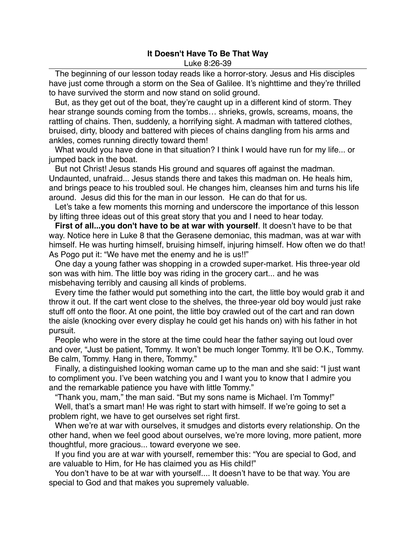## **It Doesn't Have To Be That Way**

Luke 8:26-39

The beginning of our lesson today reads like a horror-story. Jesus and His disciples have just come through a storm on the Sea of Galilee. It's nighttime and they're thrilled to have survived the storm and now stand on solid ground.

But, as they get out of the boat, they're caught up in a different kind of storm. They hear strange sounds coming from the tombs… shrieks, growls, screams, moans, the rattling of chains. Then, suddenly, a horrifying sight. A madman with tattered clothes, bruised, dirty, bloody and battered with pieces of chains dangling from his arms and ankles, comes running directly toward them!

What would you have done in that situation? I think I would have run for my life... or jumped back in the boat.

But not Christ! Jesus stands His ground and squares off against the madman. Undaunted, unafraid... Jesus stands there and takes this madman on. He heals him, and brings peace to his troubled soul. He changes him, cleanses him and turns his life around. Jesus did this for the man in our lesson. He can do that for us.

Let's take a few moments this morning and underscore the importance of this lesson by lifting three ideas out of this great story that you and I need to hear today.

**First of all...you don't have to be at war with yourself**. It doesn't have to be that way. Notice here in Luke 8 that the Gerasene demoniac, this madman, was at war with himself. He was hurting himself, bruising himself, injuring himself. How often we do that! As Pogo put it: "We have met the enemy and he is us!!"

One day a young father was shopping in a crowded super-market. His three-year old son was with him. The little boy was riding in the grocery cart... and he was misbehaving terribly and causing all kinds of problems.

Every time the father would put something into the cart, the little boy would grab it and throw it out. If the cart went close to the shelves, the three-year old boy would just rake stuff off onto the floor. At one point, the little boy crawled out of the cart and ran down the aisle (knocking over every display he could get his hands on) with his father in hot pursuit.

People who were in the store at the time could hear the father saying out loud over and over, "Just be patient, Tommy. It won't be much longer Tommy. It'll be O.K., Tommy. Be calm, Tommy. Hang in there, Tommy."

Finally, a distinguished looking woman came up to the man and she said: "I just want to compliment you. I've been watching you and I want you to know that I admire you and the remarkable patience you have with little Tommy."

"Thank you, mam," the man said. "But my sons name is Michael. I'm Tommy!"

Well, that's a smart man! He was right to start with himself. If we're going to set a problem right, we have to get ourselves set right first.

When we're at war with ourselves, it smudges and distorts every relationship. On the other hand, when we feel good about ourselves, we're more loving, more patient, more thoughtful, more gracious... toward everyone we see.

If you find you are at war with yourself, remember this: "You are special to God, and are valuable to Him, for He has claimed you as His child!"

You don't have to be at war with yourself.... It doesn't have to be that way. You are special to God and that makes you supremely valuable.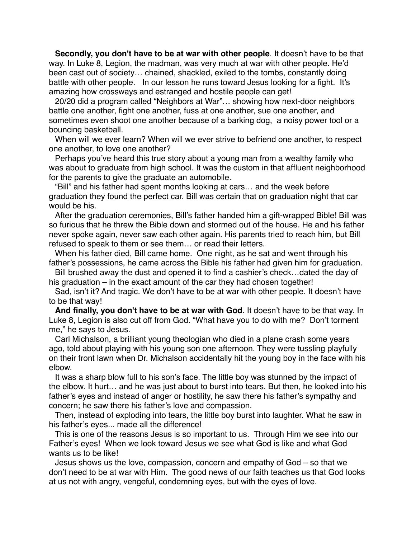**Secondly, you don't have to be at war with other people**. It doesn't have to be that way. In Luke 8, Legion, the madman, was very much at war with other people. He'd been cast out of society… chained, shackled, exiled to the tombs, constantly doing battle with other people. In our lesson he runs toward Jesus looking for a fight. It's amazing how crossways and estranged and hostile people can get!

20/20 did a program called "Neighbors at War"… showing how next-door neighbors battle one another, fight one another, fuss at one another, sue one another, and sometimes even shoot one another because of a barking dog, a noisy power tool or a bouncing basketball.

When will we ever learn? When will we ever strive to befriend one another, to respect one another, to love one another?

Perhaps you've heard this true story about a young man from a wealthy family who was about to graduate from high school. It was the custom in that affluent neighborhood for the parents to give the graduate an automobile.

"Bill" and his father had spent months looking at cars… and the week before graduation they found the perfect car. Bill was certain that on graduation night that car would be his.

After the graduation ceremonies, Bill's father handed him a gift-wrapped Bible! Bill was so furious that he threw the Bible down and stormed out of the house. He and his father never spoke again, never saw each other again. His parents tried to reach him, but Bill refused to speak to them or see them… or read their letters.

When his father died, Bill came home. One night, as he sat and went through his father's possessions, he came across the Bible his father had given him for graduation.

Bill brushed away the dust and opened it to find a cashier's check…dated the day of his graduation – in the exact amount of the car they had chosen together!

Sad, isn't it? And tragic. We don't have to be at war with other people. It doesn't have to be that way!

**And finally, you don't have to be at war with God**. It doesn't have to be that way. In Luke 8, Legion is also cut off from God. "What have you to do with me? Don't torment me," he says to Jesus.

Carl Michalson, a brilliant young theologian who died in a plane crash some years ago, told about playing with his young son one afternoon. They were tussling playfully on their front lawn when Dr. Michalson accidentally hit the young boy in the face with his elbow.

It was a sharp blow full to his son's face. The little boy was stunned by the impact of the elbow. It hurt… and he was just about to burst into tears. But then, he looked into his father's eyes and instead of anger or hostility, he saw there his father's sympathy and concern; he saw there his father's love and compassion.

Then, instead of exploding into tears, the little boy burst into laughter. What he saw in his father's eyes... made all the difference!

This is one of the reasons Jesus is so important to us. Through Him we see into our Father's eyes! When we look toward Jesus we see what God is like and what God wants us to be like!

Jesus shows us the love, compassion, concern and empathy of God – so that we don't need to be at war with Him. The good news of our faith teaches us that God looks at us not with angry, vengeful, condemning eyes, but with the eyes of love.